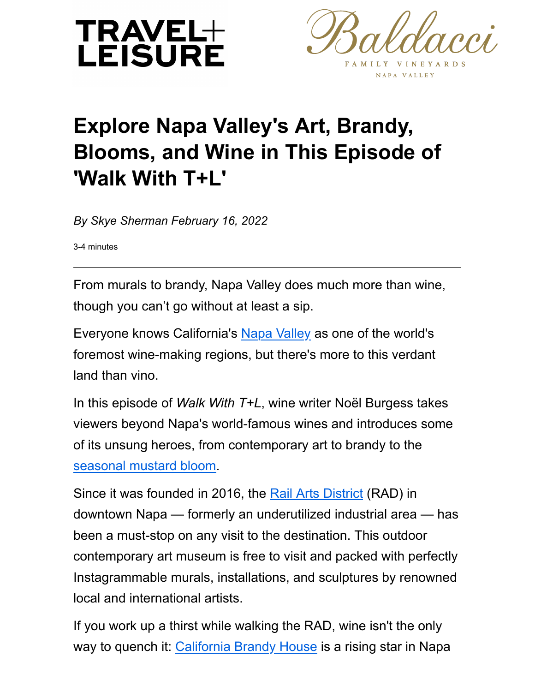



## **Explore Napa Valley's Art, Brandy, Blooms, and Wine in This Episode of 'Walk With T+L'**

*By Skye Sherman February 16, 2022*

3-4 minutes

From murals to brandy, Napa Valley does much more than wine, though you can't go without at least a sip.

Everyone knows California's [Napa Valley](https://www.travelandleisure.com/travel-guide/napa-valley) as one of the world's foremost wine-making regions, but there's more to this verdant land than vino.

In this episode of *Walk With T+L*, wine writer Noël Burgess takes viewers beyond Napa's world-famous wines and introduces some of its unsung heroes, from contemporary art to brandy to the [seasonal mustard bloom.](https://www.travelandleisure.com/trip-ideas/mustard-season-napa-valley-wildflower-bloom)

Since it was founded in 2016, the [Rail Arts District](https://www.radnapa.org/) (RAD) in downtown Napa — formerly an underutilized industrial area — has been a must-stop on any visit to the destination. This outdoor contemporary art museum is free to visit and packed with perfectly Instagrammable murals, installations, and sculptures by renowned local and international artists.

If you work up a thirst while walking the RAD, wine isn't the only way to quench it: [California Brandy House](https://www.californiabrandyhouse.com/) is a rising star in Napa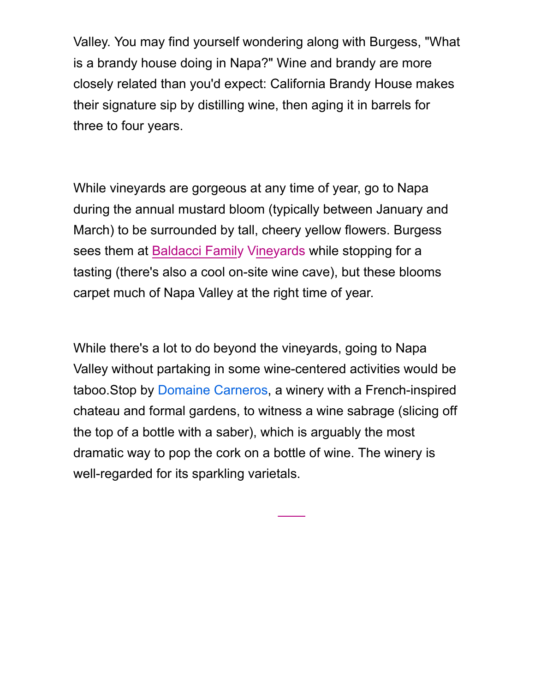Valley. You may find yourself wondering along with Burgess, "What is a brandy house doing in Napa?" Wine and brandy are more closely related than you'd expect: California Brandy House makes their signature sip by distilling wine, then aging it in barrels for three to four years.

While vineyards are gorgeous at any time of year, go to Napa during the annual mustard bloom (typically between January and March) to be surrounded by tall, cheery yellow flowers. Burgess sees them at [Baldacci Family Vineyards](https://www.baldaccivineyards.com/) while stopping for a tasting (there's also a cool on-site wine cave), but these blooms carpet much of Napa Valley at the right time of year.

While there's a lot to do beyond the vineyards, going to Napa Valley without partaking in some wine-centered activities would be taboo.Stop by [Domaine Carneros,](https://www.domainecarneros.com/) a winery with a French-inspired chateau and formal gardens, to witness a wine sabrage (slicing off the top of a bottle with a saber), which is arguably the most dramatic way to pop the cork on a bottle of wine. The winery is well-regarded for its sparkling varietals.